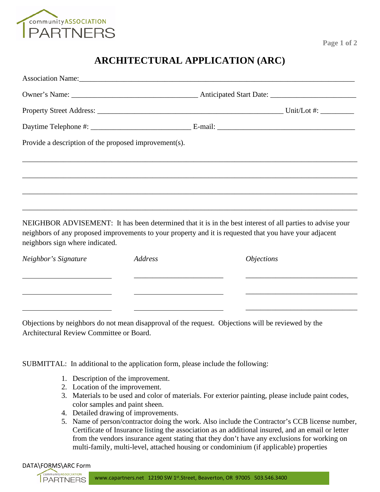

neighbors sign where indicated.

## **ARCHITECTURAL APPLICATION (ARC)**

| Provide a description of the proposed improvement(s). |  |  |  |
|-------------------------------------------------------|--|--|--|
|                                                       |  |  |  |
|                                                       |  |  |  |
|                                                       |  |  |  |
|                                                       |  |  |  |

| Neighbor's Signature | Address | <i>Objections</i> |
|----------------------|---------|-------------------|
|                      |         |                   |
|                      |         |                   |

Objections by neighbors do not mean disapproval of the request. Objections will be reviewed by the Architectural Review Committee or Board.

SUBMITTAL: In additional to the application form, please include the following:

- 1. Description of the improvement.
- 2. Location of the improvement.
- 3. Materials to be used and color of materials. For exterior painting, please include paint codes, color samples and paint sheen.
- 4. Detailed drawing of improvements.
- 5. Name of person/contractor doing the work. Also include the Contractor's CCB license number, Certificate of Insurance listing the association as an additional insured, and an email or letter from the vendors insurance agent stating that they don't have any exclusions for working on multi-family, multi-level, attached housing or condominium (if applicable) properties

## DATA\FORMS\ARC Form